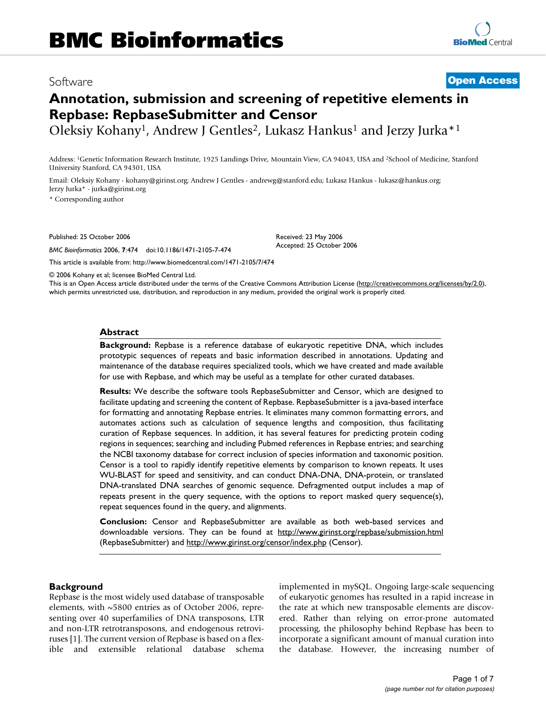# Software **[Open Access](http://www.biomedcentral.com/info/about/charter/)**

# **Annotation, submission and screening of repetitive elements in Repbase: RepbaseSubmitter and Censor**

Oleksiy Kohany<sup>1</sup>, Andrew J Gentles<sup>2</sup>, Lukasz Hankus<sup>1</sup> and Jerzy Jurka<sup>\*1</sup>

Address: 1Genetic Information Research Institute, 1925 Landings Drive, Mountain View, CA 94043, USA and 2School of Medicine, Stanford University Stanford, CA 94301, USA

Email: Oleksiy Kohany - kohany@girinst.org; Andrew J Gentles - andrewg@stanford.edu; Lukasz Hankus - lukasz@hankus.org; Jerzy Jurka\* - jurka@girinst.org

\* Corresponding author

Published: 25 October 2006

*BMC Bioinformatics* 2006, **7**:474 doi:10.1186/1471-2105-7-474

[This article is available from: http://www.biomedcentral.com/1471-2105/7/474](http://www.biomedcentral.com/1471-2105/7/474)

Received: 23 May 2006 Accepted: 25 October 2006

© 2006 Kohany et al; licensee BioMed Central Ltd.

This is an Open Access article distributed under the terms of the Creative Commons Attribution License [\(http://creativecommons.org/licenses/by/2.0\)](http://creativecommons.org/licenses/by/2.0), which permits unrestricted use, distribution, and reproduction in any medium, provided the original work is properly cited.

#### **Abstract**

**Background:** Repbase is a reference database of eukaryotic repetitive DNA, which includes prototypic sequences of repeats and basic information described in annotations. Updating and maintenance of the database requires specialized tools, which we have created and made available for use with Repbase, and which may be useful as a template for other curated databases.

**Results:** We describe the software tools RepbaseSubmitter and Censor, which are designed to facilitate updating and screening the content of Repbase. RepbaseSubmitter is a java-based interface for formatting and annotating Repbase entries. It eliminates many common formatting errors, and automates actions such as calculation of sequence lengths and composition, thus facilitating curation of Repbase sequences. In addition, it has several features for predicting protein coding regions in sequences; searching and including Pubmed references in Repbase entries; and searching the NCBI taxonomy database for correct inclusion of species information and taxonomic position. Censor is a tool to rapidly identify repetitive elements by comparison to known repeats. It uses WU-BLAST for speed and sensitivity, and can conduct DNA-DNA, DNA-protein, or translated DNA-translated DNA searches of genomic sequence. Defragmented output includes a map of repeats present in the query sequence, with the options to report masked query sequence(s), repeat sequences found in the query, and alignments.

**Conclusion:** Censor and RepbaseSubmitter are available as both web-based services and downloadable versions. They can be found at <http://www.girinst.org/repbase/submission.html> (RepbaseSubmitter) and<http://www.girinst.org/censor/index.php> (Censor).

#### **Background**

Repbase is the most widely used database of transposable elements, with ~5800 entries as of October 2006, representing over 40 superfamilies of DNA transposons, LTR and non-LTR retrotransposons, and endogenous retroviruses [1]. The current version of Repbase is based on a flexible and extensible relational database schema implemented in mySQL. Ongoing large-scale sequencing of eukaryotic genomes has resulted in a rapid increase in the rate at which new transposable elements are discovered. Rather than relying on error-prone automated processing, the philosophy behind Repbase has been to incorporate a significant amount of manual curation into the database. However, the increasing number of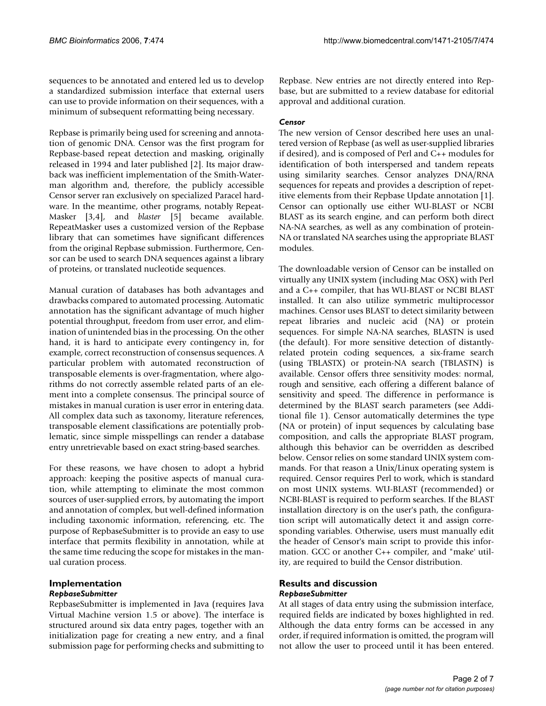sequences to be annotated and entered led us to develop a standardized submission interface that external users can use to provide information on their sequences, with a minimum of subsequent reformatting being necessary.

Repbase is primarily being used for screening and annotation of genomic DNA. Censor was the first program for Repbase-based repeat detection and masking, originally released in 1994 and later published [2]. Its major drawback was inefficient implementation of the Smith-Waterman algorithm and, therefore, the publicly accessible Censor server ran exclusively on specialized Paracel hardware. In the meantime, other programs, notably Repeat-Masker [3,4], and *blaster* [5] became available. RepeatMasker uses a customized version of the Repbase library that can sometimes have significant differences from the original Repbase submission. Furthermore, Censor can be used to search DNA sequences against a library of proteins, or translated nucleotide sequences.

Manual curation of databases has both advantages and drawbacks compared to automated processing. Automatic annotation has the significant advantage of much higher potential throughput, freedom from user error, and elimination of unintended bias in the processing. On the other hand, it is hard to anticipate every contingency in, for example, correct reconstruction of consensus sequences. A particular problem with automated reconstruction of transposable elements is over-fragmentation, where algorithms do not correctly assemble related parts of an element into a complete consensus. The principal source of mistakes in manual curation is user error in entering data. All complex data such as taxonomy, literature references, transposable element classifications are potentially problematic, since simple misspellings can render a database entry unretrievable based on exact string-based searches.

For these reasons, we have chosen to adopt a hybrid approach: keeping the positive aspects of manual curation, while attempting to eliminate the most common sources of user-supplied errors, by automating the import and annotation of complex, but well-defined information including taxonomic information, referencing, etc. The purpose of RepbaseSubmitter is to provide an easy to use interface that permits flexibility in annotation, while at the same time reducing the scope for mistakes in the manual curation process.

#### **Implementation** *RepbaseSubmitter*

RepbaseSubmitter is implemented in Java (requires Java Virtual Machine version 1.5 or above). The interface is structured around six data entry pages, together with an initialization page for creating a new entry, and a final submission page for performing checks and submitting to

Repbase. New entries are not directly entered into Repbase, but are submitted to a review database for editorial approval and additional curation.

### *Censor*

The new version of Censor described here uses an unaltered version of Repbase (as well as user-supplied libraries if desired), and is composed of Perl and C++ modules for identification of both interspersed and tandem repeats using similarity searches. Censor analyzes DNA/RNA sequences for repeats and provides a description of repetitive elements from their Repbase Update annotation [1]. Censor can optionally use either WU-BLAST or NCBI BLAST as its search engine, and can perform both direct NA-NA searches, as well as any combination of protein-NA or translated NA searches using the appropriate BLAST modules.

The downloadable version of Censor can be installed on virtually any UNIX system (including Mac OSX) with Perl and a C++ compiler, that has WU-BLAST or NCBI BLAST installed. It can also utilize symmetric multiprocessor machines. Censor uses BLAST to detect similarity between repeat libraries and nucleic acid (NA) or protein sequences. For simple NA-NA searches, BLASTN is used (the default). For more sensitive detection of distantlyrelated protein coding sequences, a six-frame search (using TBLASTX) or protein-NA search (TBLASTN) is available. Censor offers three sensitivity modes: normal, rough and sensitive, each offering a different balance of sensitivity and speed. The difference in performance is determined by the BLAST search parameters (see Additional file 1). Censor automatically determines the type (NA or protein) of input sequences by calculating base composition, and calls the appropriate BLAST program, although this behavior can be overridden as described below. Censor relies on some standard UNIX system commands. For that reason a Unix/Linux operating system is required. Censor requires Perl to work, which is standard on most UNIX systems. WU-BLAST (recommended) or NCBI-BLAST is required to perform searches. If the BLAST installation directory is on the user's path, the configuration script will automatically detect it and assign corresponding variables. Otherwise, users must manually edit the header of Censor's main script to provide this information. GCC or another C++ compiler, and "make' utility, are required to build the Censor distribution.

#### **Results and discussion** *RepbaseSubmitter*

At all stages of data entry using the submission interface, required fields are indicated by boxes highlighted in red. Although the data entry forms can be accessed in any order, if required information is omitted, the program will not allow the user to proceed until it has been entered.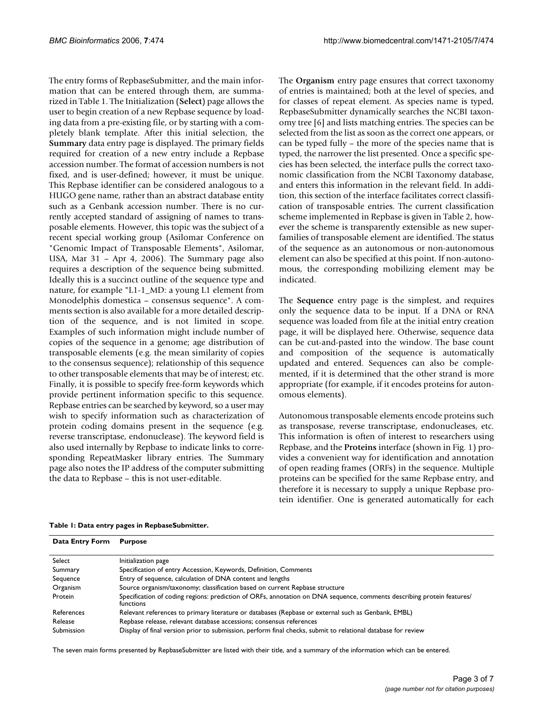The entry forms of RepbaseSubmitter, and the main information that can be entered through them, are summarized in Table 1. The Initialization (**Select**) page allows the user to begin creation of a new Repbase sequence by loading data from a pre-existing file, or by starting with a completely blank template. After this initial selection, the **Summary** data entry page is displayed. The primary fields required for creation of a new entry include a Repbase accession number. The format of accession numbers is not fixed, and is user-defined; however, it must be unique. This Repbase identifier can be considered analogous to a HUGO gene name, rather than an abstract database entity such as a Genbank accession number. There is no currently accepted standard of assigning of names to transposable elements. However, this topic was the subject of a recent special working group (Asilomar Conference on "Genomic Impact of Transposable Elements", Asilomar, USA, Mar 31 – Apr 4, 2006). The Summary page also requires a description of the sequence being submitted. Ideally this is a succinct outline of the sequence type and nature, for example "L1-1\_MD: a young L1 element from Monodelphis domestica – consensus sequence". A comments section is also available for a more detailed description of the sequence, and is not limited in scope. Examples of such information might include number of copies of the sequence in a genome; age distribution of transposable elements (e.g. the mean similarity of copies to the consensus sequence); relationship of this sequence to other transposable elements that may be of interest; etc. Finally, it is possible to specify free-form keywords which provide pertinent information specific to this sequence. Repbase entries can be searched by keyword, so a user may wish to specify information such as characterization of protein coding domains present in the sequence (e.g. reverse transcriptase, endonuclease). The keyword field is also used internally by Repbase to indicate links to corresponding RepeatMasker library entries. The Summary page also notes the IP address of the computer submitting the data to Repbase – this is not user-editable.

The **Organism** entry page ensures that correct taxonomy of entries is maintained; both at the level of species, and for classes of repeat element. As species name is typed, RepbaseSubmitter dynamically searches the NCBI taxonomy tree [6] and lists matching entries. The species can be selected from the list as soon as the correct one appears, or can be typed fully – the more of the species name that is typed, the narrower the list presented. Once a specific species has been selected, the interface pulls the correct taxonomic classification from the NCBI Taxonomy database, and enters this information in the relevant field. In addition, this section of the interface facilitates correct classification of transposable entries. The current classification scheme implemented in Repbase is given in Table 2, however the scheme is transparently extensible as new superfamilies of transposable element are identified. The status of the sequence as an autonomous or non-autonomous element can also be specified at this point. If non-autonomous, the corresponding mobilizing element may be indicated.

The **Sequence** entry page is the simplest, and requires only the sequence data to be input. If a DNA or RNA sequence was loaded from file at the initial entry creation page, it will be displayed here. Otherwise, sequence data can be cut-and-pasted into the window. The base count and composition of the sequence is automatically updated and entered. Sequences can also be complemented, if it is determined that the other strand is more appropriate (for example, if it encodes proteins for autonomous elements).

Autonomous transposable elements encode proteins such as transposase, reverse transcriptase, endonucleases, etc. This information is often of interest to researchers using Repbase, and the **Proteins** interface (shown in Fig. 1) provides a convenient way for identification and annotation of open reading frames (ORFs) in the sequence. Multiple proteins can be specified for the same Repbase entry, and therefore it is necessary to supply a unique Repbase protein identifier. One is generated automatically for each

| Data Entry Form | <b>Purpose</b>                                                                                                                      |  |  |  |  |  |  |  |
|-----------------|-------------------------------------------------------------------------------------------------------------------------------------|--|--|--|--|--|--|--|
| Select          | Initialization page                                                                                                                 |  |  |  |  |  |  |  |
| Summary         | Specification of entry Accession, Keywords, Definition, Comments                                                                    |  |  |  |  |  |  |  |
| Sequence        | Entry of sequence, calculation of DNA content and lengths                                                                           |  |  |  |  |  |  |  |
| Organism        | Source organism/taxonomy; classification based on current Repbase structure                                                         |  |  |  |  |  |  |  |
| Protein         | Specification of coding regions: prediction of ORFs, annotation on DNA sequence, comments describing protein features/<br>functions |  |  |  |  |  |  |  |
| References      | Relevant references to primary literature or databases (Repbase or external such as Genbank, EMBL)                                  |  |  |  |  |  |  |  |
| Release         | Repbase release, relevant database accessions; consensus references                                                                 |  |  |  |  |  |  |  |
| Submission      | Display of final version prior to submission, perform final checks, submit to relational database for review                        |  |  |  |  |  |  |  |

#### **Table 1: Data entry pages in RepbaseSubmitter.**

The seven main forms presented by RepbaseSubmitter are listed with their title, and a summary of the information which can be entered.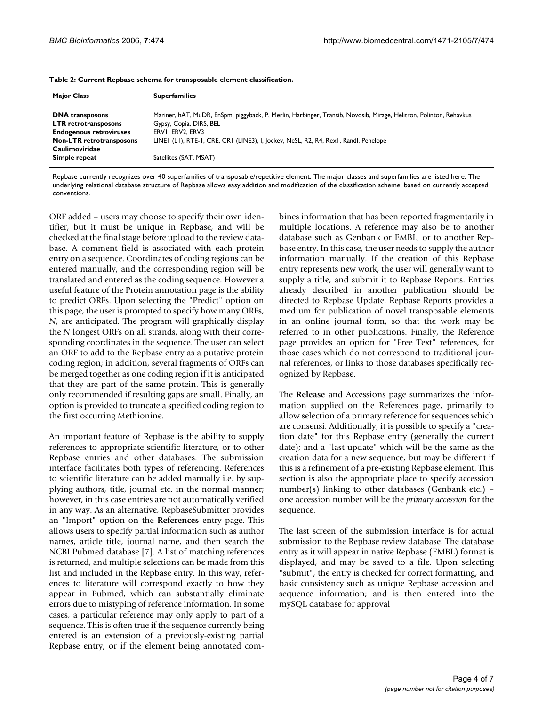| <b>Major Class</b>              | <b>Superfamilies</b>                                                                                               |  |  |  |  |  |  |
|---------------------------------|--------------------------------------------------------------------------------------------------------------------|--|--|--|--|--|--|
| <b>DNA</b> transposons          | Mariner, hAT, MuDR, EnSpm, piggyback, P, Merlin, Harbinger, Transib, Novosib, Mirage, Helitron, Polinton, Rehavkus |  |  |  |  |  |  |
| <b>LTR</b> retrotransposons     | Gypsy, Copia, DIRS, BEL                                                                                            |  |  |  |  |  |  |
| <b>Endogenous retroviruses</b>  | ERVI. ERV2. ERV3                                                                                                   |  |  |  |  |  |  |
| <b>Non-LTR</b> retrotransposons | LINEI (LI), RTE-1, CRE, CRI (LINE3), I, Jockey, NeSL, R2, R4, Rex1, Randl, Penelope                                |  |  |  |  |  |  |
| Caulimoviridae                  |                                                                                                                    |  |  |  |  |  |  |
| Simple repeat                   | Satellites (SAT, MSAT)                                                                                             |  |  |  |  |  |  |
|                                 |                                                                                                                    |  |  |  |  |  |  |

**Table 2: Current Repbase schema for transposable element classification.**

Repbase currently recognizes over 40 superfamilies of transposable/repetitive element. The major classes and superfamilies are listed here. The underlying relational database structure of Repbase allows easy addition and modification of the classification scheme, based on currently accepted conventions.

ORF added – users may choose to specify their own identifier, but it must be unique in Repbase, and will be checked at the final stage before upload to the review database. A comment field is associated with each protein entry on a sequence. Coordinates of coding regions can be entered manually, and the corresponding region will be translated and entered as the coding sequence. However a useful feature of the Protein annotation page is the ability to predict ORFs. Upon selecting the "Predict" option on this page, the user is prompted to specify how many ORFs, *N*, are anticipated. The program will graphically display the *N* longest ORFs on all strands, along with their corresponding coordinates in the sequence. The user can select an ORF to add to the Repbase entry as a putative protein coding region; in addition, several fragments of ORFs can be merged together as one coding region if it is anticipated that they are part of the same protein. This is generally only recommended if resulting gaps are small. Finally, an option is provided to truncate a specified coding region to the first occurring Methionine.

An important feature of Repbase is the ability to supply references to appropriate scientific literature, or to other Repbase entries and other databases. The submission interface facilitates both types of referencing. References to scientific literature can be added manually i.e. by supplying authors, title, journal etc. in the normal manner; however, in this case entries are not automatically verified in any way. As an alternative, RepbaseSubmitter provides an "Import" option on the **References** entry page. This allows users to specify partial information such as author names, article title, journal name, and then search the NCBI Pubmed database [7]. A list of matching references is returned, and multiple selections can be made from this list and included in the Repbase entry. In this way, references to literature will correspond exactly to how they appear in Pubmed, which can substantially eliminate errors due to mistyping of reference information. In some cases, a particular reference may only apply to part of a sequence. This is often true if the sequence currently being entered is an extension of a previously-existing partial Repbase entry; or if the element being annotated combines information that has been reported fragmentarily in multiple locations. A reference may also be to another database such as Genbank or EMBL, or to another Repbase entry. In this case, the user needs to supply the author information manually. If the creation of this Repbase entry represents new work, the user will generally want to supply a title, and submit it to Repbase Reports. Entries already described in another publication should be directed to Repbase Update. Repbase Reports provides a medium for publication of novel transposable elements in an online journal form, so that the work may be referred to in other publications. Finally, the Reference page provides an option for "Free Text" references, for those cases which do not correspond to traditional journal references, or links to those databases specifically recognized by Repbase.

The **Release** and Accessions page summarizes the information supplied on the References page, primarily to allow selection of a primary reference for sequences which are consensi. Additionally, it is possible to specify a "creation date" for this Repbase entry (generally the current date); and a "last update" which will be the same as the creation data for a new sequence, but may be different if this is a refinement of a pre-existing Repbase element. This section is also the appropriate place to specify accession number(s) linking to other databases (Genbank etc.) – one accession number will be the *primary accession* for the sequence.

The last screen of the submission interface is for actual submission to the Repbase review database. The database entry as it will appear in native Repbase (EMBL) format is displayed, and may be saved to a file. Upon selecting "submit", the entry is checked for correct formatting, and basic consistency such as unique Repbase accession and sequence information; and is then entered into the mySQL database for approval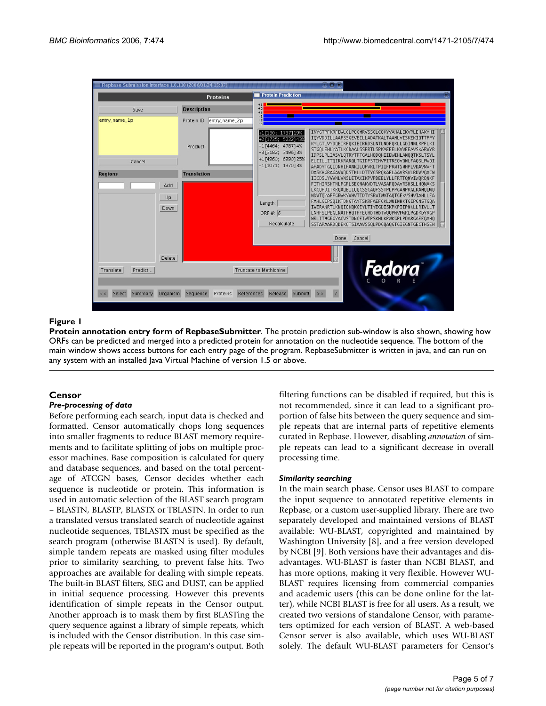

#### **Figure 1**

**Protein annotation entry form of RepbaseSubmitter**. The protein prediction sub-window is also shown, showing how ORFs can be predicted and merged into a predicted protein for annotation on the nucleotide sequence. The bottom of the main window shows access buttons for each entry page of the program. RepbaseSubmitter is written in java, and can run on any system with an installed Java Virtual Machine of version 1.5 or above.

#### **Censor**

#### *Pre-processing of data*

Before performing each search, input data is checked and formatted. Censor automatically chops long sequences into smaller fragments to reduce BLAST memory requirements and to facilitate splitting of jobs on multiple processor machines. Base composition is calculated for query and database sequences, and based on the total percentage of ATCGN bases, Censor decides whether each sequence is nucleotide or protein. This information is used in automatic selection of the BLAST search program – BLASTN, BLASTP, BLASTX or TBLASTN. In order to run a translated versus translated search of nucleotide against nucleotide sequences, TBLASTX must be specified as the search program (otherwise BLASTN is used). By default, simple tandem repeats are masked using filter modules prior to similarity searching, to prevent false hits. Two approaches are available for dealing with simple repeats. The built-in BLAST filters, SEG and DUST, can be applied in initial sequence processing. However this prevents identification of simple repeats in the Censor output. Another approach is to mask them by first BLASTing the query sequence against a library of simple repeats, which is included with the Censor distribution. In this case simple repeats will be reported in the program's output. Both filtering functions can be disabled if required, but this is not recommended, since it can lead to a significant proportion of false hits between the query sequence and simple repeats that are internal parts of repetitive elements curated in Repbase. However, disabling *annotation* of simple repeats can lead to a significant decrease in overall processing time.

#### *Similarity searching*

In the main search phase, Censor uses BLAST to compare the input sequence to annotated repetitive elements in Repbase, or a custom user-supplied library. There are two separately developed and maintained versions of BLAST available: WU-BLAST, copyrighted and maintained by Washington University [8], and a free version developed by NCBI [9]. Both versions have their advantages and disadvantages. WU-BLAST is faster than NCBI BLAST, and has more options, making it very flexible. However WU-BLAST requires licensing from commercial companies and academic users (this can be done online for the latter), while NCBI BLAST is free for all users. As a result, we created two versions of standalone Censor, with parameters optimized for each version of BLAST. A web-based Censor server is also available, which uses WU-BLAST solely. The default WU-BLAST parameters for Censor's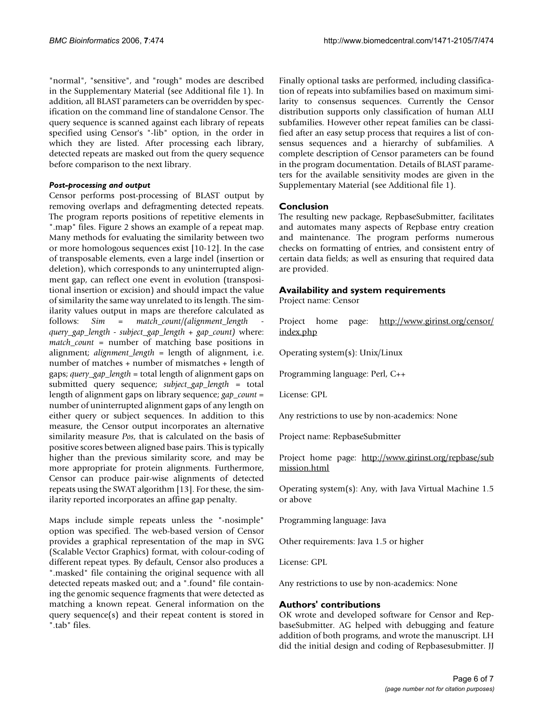"normal", "sensitive", and "rough" modes are described in the Supplementary Material (see Additional file 1). In addition, all BLAST parameters can be overridden by specification on the command line of standalone Censor. The query sequence is scanned against each library of repeats specified using Censor's "-lib" option, in the order in which they are listed. After processing each library, detected repeats are masked out from the query sequence before comparison to the next library.

#### *Post-processing and output*

Censor performs post-processing of BLAST output by removing overlaps and defragmenting detected repeats. The program reports positions of repetitive elements in ".map" files. Figure 2 shows an example of a repeat map. Many methods for evaluating the similarity between two or more homologous sequences exist [10-12]. In the case of transposable elements, even a large indel (insertion or deletion), which corresponds to any uninterrupted alignment gap, can reflect one event in evolution (transpositional insertion or excision) and should impact the value of similarity the same way unrelated to its length. The similarity values output in maps are therefore calculated as follows: *Sim = match\_count/(alignment\_length query\_gap\_length - subject\_gap\_length + gap\_count)* where: *match\_count* = number of matching base positions in alignment; *alignment\_length* = length of alignment, i.e. number of matches + number of mismatches + length of gaps; *query\_gap\_length* = total length of alignment gaps on submitted query sequence; *subject\_gap\_length* = total length of alignment gaps on library sequence; *gap\_count* = number of uninterrupted alignment gaps of any length on either query or subject sequences. In addition to this measure, the Censor output incorporates an alternative similarity measure *Pos*, that is calculated on the basis of positive scores between aligned base pairs. This is typically higher than the previous similarity score, and may be more appropriate for protein alignments. Furthermore, Censor can produce pair-wise alignments of detected repeats using the SWAT algorithm [13]. For these, the similarity reported incorporates an affine gap penalty.

Maps include simple repeats unless the "-nosimple" option was specified. The web-based version of Censor provides a graphical representation of the map in SVG (Scalable Vector Graphics) format, with colour-coding of different repeat types. By default, Censor also produces a ".masked" file containing the original sequence with all detected repeats masked out; and a ".found" file containing the genomic sequence fragments that were detected as matching a known repeat. General information on the query sequence(s) and their repeat content is stored in ".tab" files.

Finally optional tasks are performed, including classification of repeats into subfamilies based on maximum similarity to consensus sequences. Currently the Censor distribution supports only classification of human ALU subfamilies. However other repeat families can be classified after an easy setup process that requires a list of consensus sequences and a hierarchy of subfamilies. A complete description of Censor parameters can be found in the program documentation. Details of BLAST parameters for the available sensitivity modes are given in the Supplementary Material (see Additional file 1).

#### **Conclusion**

The resulting new package, RepbaseSubmitter, facilitates and automates many aspects of Repbase entry creation and maintenance. The program performs numerous checks on formatting of entries, and consistent entry of certain data fields; as well as ensuring that required data are provided.

#### **Availability and system requirements**

Project name: Censor

Project home page: [http://www.girinst.org/censor/](http://www.girinst.org/censor/index.php) [index.php](http://www.girinst.org/censor/index.php)

Operating system(s): Unix/Linux

Programming language: Perl, C++

License: GPL

Any restrictions to use by non-academics: None

Project name: RepbaseSubmitter

Project home page: [http://www.girinst.org/repbase/sub](http://www.girinst.org/repbase/submission.html) [mission.html](http://www.girinst.org/repbase/submission.html)

Operating system(s): Any, with Java Virtual Machine 1.5 or above

Programming language: Java

Other requirements: Java 1.5 or higher

License: GPL

Any restrictions to use by non-academics: None

#### **Authors' contributions**

OK wrote and developed software for Censor and RepbaseSubmitter. AG helped with debugging and feature addition of both programs, and wrote the manuscript. LH did the initial design and coding of Repbasesubmitter. JJ